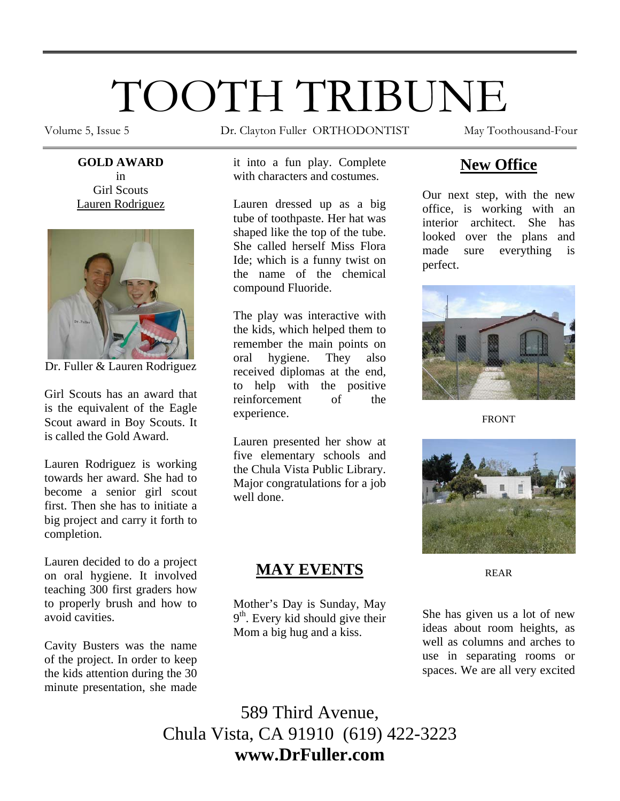# TOOTH TRIBUNE

**GOLD AWARD**  in Girl Scouts Lauren Rodriguez



Dr. Fuller & Lauren Rodriguez

Girl Scouts has an award that is the equivalent of the Eagle Scout award in Boy Scouts. It is called the Gold Award.

Lauren Rodriguez is working towards her award. She had to become a senior girl scout first. Then she has to initiate a big project and carry it forth to completion.

Lauren decided to do a project on oral hygiene. It involved teaching 300 first graders how to properly brush and how to avoid cavities.

Cavity Busters was the name of the project. In order to keep the kids attention during the 30 minute presentation, she made

Volume 5, Issue 5 **Dr.** Clayton Fuller ORTHODONTIST May Toothousand-Four

it into a fun play. Complete with characters and costumes.

Lauren dressed up as a big tube of toothpaste. Her hat was shaped like the top of the tube. She called herself Miss Flora Ide; which is a funny twist on the name of the chemical compound Fluoride.

The play was interactive with the kids, which helped them to remember the main points on oral hygiene. They also received diplomas at the end, to help with the positive reinforcement of the experience.

Lauren presented her show at five elementary schools and the Chula Vista Public Library. Major congratulations for a job well done.

## **MAY EVENTS**

Mother's Day is Sunday, May 9<sup>th</sup>. Every kid should give their Mom a big hug and a kiss.

# **New Office**

Our next step, with the new office, is working with an interior architect. She has looked over the plans and made sure everything is perfect.



FRONT



REAR

She has given us a lot of new ideas about room heights, as well as columns and arches to use in separating rooms or spaces. We are all very excited

589 Third Avenue, Chula Vista, CA 91910 (619) 422-3223 **www.DrFuller.com**